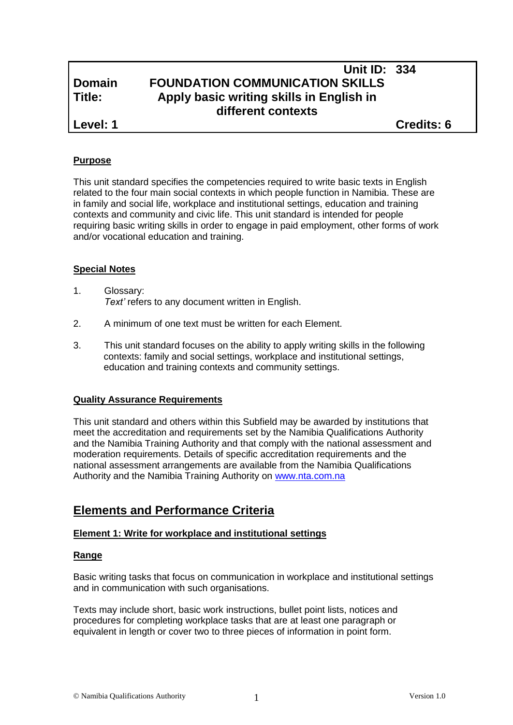# **Unit ID: 334 Domain FOUNDATION COMMUNICATION SKILLS Title: Apply basic writing skills in English in different contexts**

**Level: 1 Credits: 6**

# **Purpose**

This unit standard specifies the competencies required to write basic texts in English related to the four main social contexts in which people function in Namibia. These are in family and social life, workplace and institutional settings, education and training contexts and community and civic life. This unit standard is intended for people requiring basic writing skills in order to engage in paid employment, other forms of work and/or vocational education and training.

## **Special Notes**

- 1. Glossary: *Text'* refers to any document written in English.
- 2. A minimum of one text must be written for each Element.
- 3. This unit standard focuses on the ability to apply writing skills in the following contexts: family and social settings, workplace and institutional settings, education and training contexts and community settings.

# **Quality Assurance Requirements**

This unit standard and others within this Subfield may be awarded by institutions that meet the accreditation and requirements set by the Namibia Qualifications Authority and the Namibia Training Authority and that comply with the national assessment and moderation requirements. Details of specific accreditation requirements and the national assessment arrangements are available from the Namibia Qualifications Authority and the Namibia Training Authority on [www.nta.com.na](http://www.nta.com.na/)

# **Elements and Performance Criteria**

# **Element 1: Write for workplace and institutional settings**

### **Range**

Basic writing tasks that focus on communication in workplace and institutional settings and in communication with such organisations.

Texts may include short, basic work instructions, bullet point lists, notices and procedures for completing workplace tasks that are at least one paragraph or equivalent in length or cover two to three pieces of information in point form.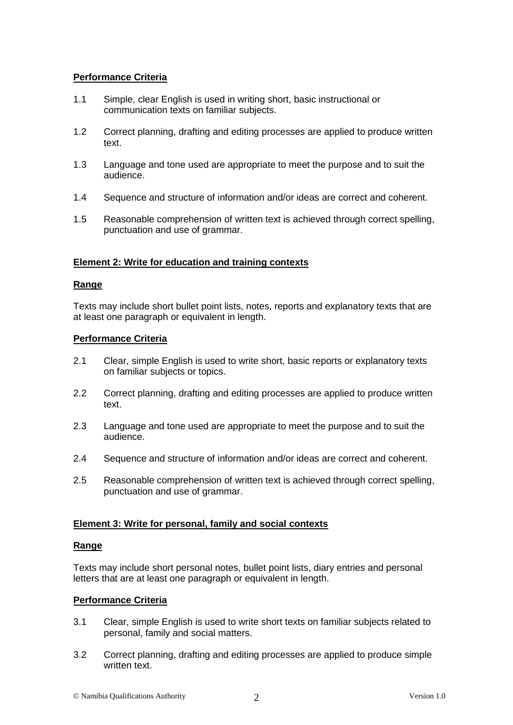# **Performance Criteria**

- 1.1 Simple, clear English is used in writing short, basic instructional or communication texts on familiar subjects.
- 1.2 Correct planning, drafting and editing processes are applied to produce written text.
- 1.3 Language and tone used are appropriate to meet the purpose and to suit the audience.
- 1.4 Sequence and structure of information and/or ideas are correct and coherent.
- 1.5 Reasonable comprehension of written text is achieved through correct spelling, punctuation and use of grammar.

#### **Element 2: Write for education and training contexts**

#### **Range**

Texts may include short bullet point lists, notes, reports and explanatory texts that are at least one paragraph or equivalent in length.

#### **Performance Criteria**

- 2.1 Clear, simple English is used to write short, basic reports or explanatory texts on familiar subjects or topics.
- 2.2 Correct planning, drafting and editing processes are applied to produce written text.
- 2.3 Language and tone used are appropriate to meet the purpose and to suit the audience.
- 2.4 Sequence and structure of information and/or ideas are correct and coherent.
- 2.5 Reasonable comprehension of written text is achieved through correct spelling, punctuation and use of grammar.

### **Element 3: Write for personal, family and social contexts**

#### **Range**

Texts may include short personal notes, bullet point lists, diary entries and personal letters that are at least one paragraph or equivalent in length.

#### **Performance Criteria**

- 3.1 Clear, simple English is used to write short texts on familiar subjects related to personal, family and social matters.
- 3.2 Correct planning, drafting and editing processes are applied to produce simple written text.